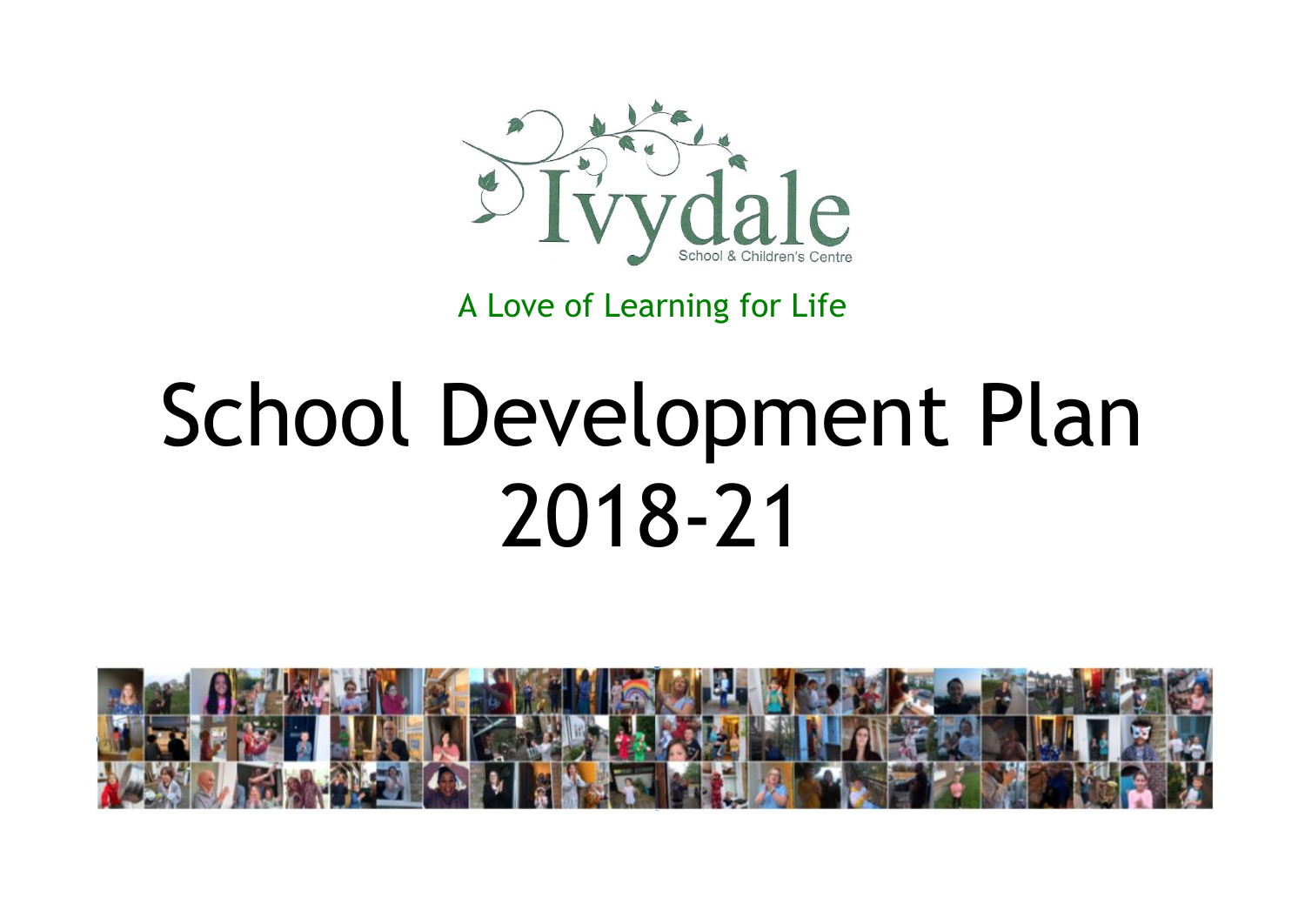

A Love of Learning for Life

## School Development Plan 2018-21

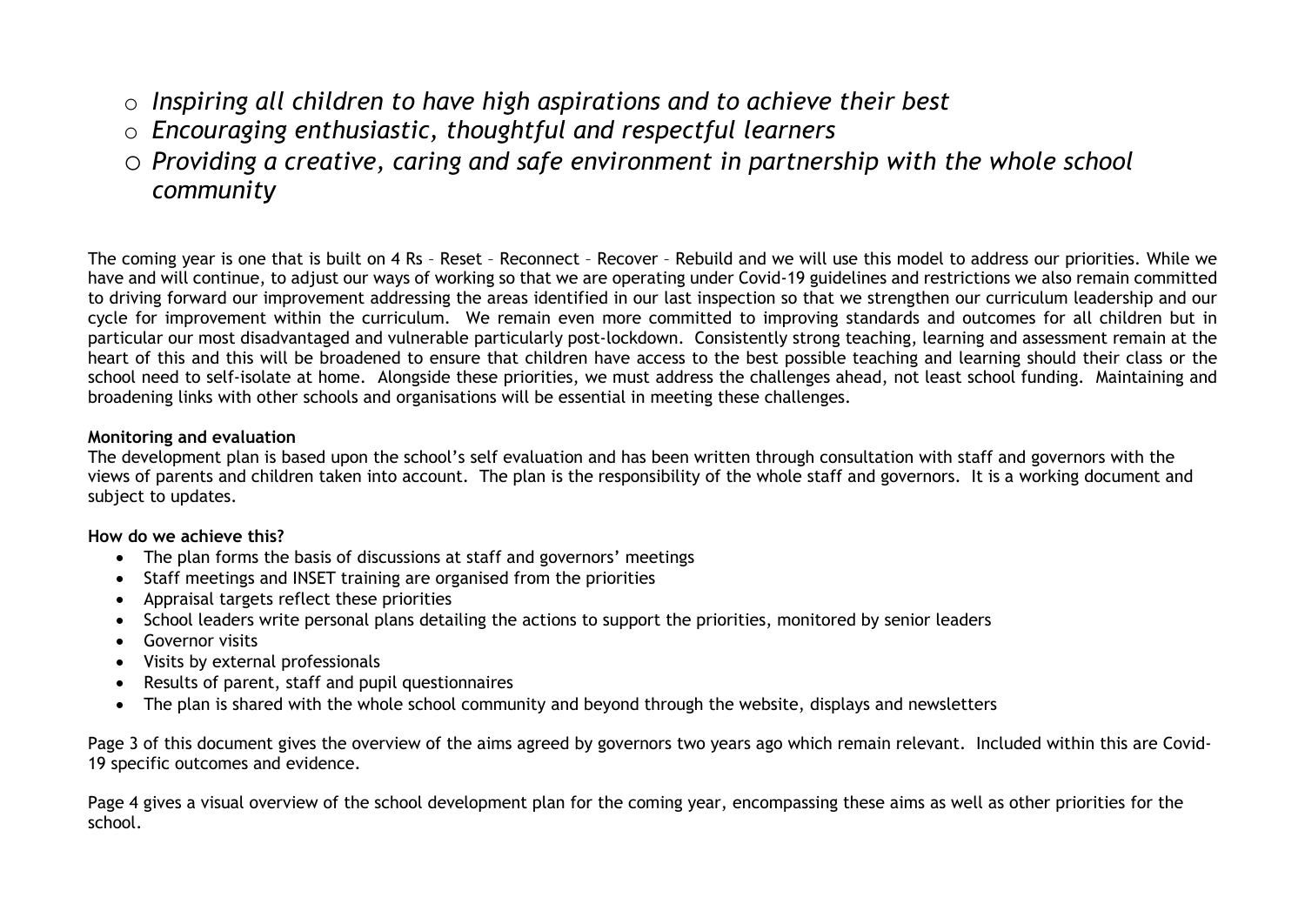- o *Inspiring all children to have high aspirations and to achieve their best*
- o *Encouraging enthusiastic, thoughtful and respectful learners*
- o *Providing a creative, caring and safe environment in partnership with the whole school community*

The coming year is one that is built on 4 Rs – Reset – Reconnect – Recover – Rebuild and we will use this model to address our priorities. While we have and will continue, to adjust our ways of working so that we are operating under Covid-19 guidelines and restrictions we also remain committed to driving forward our improvement addressing the areas identified in our last inspection so that we strengthen our curriculum leadership and our cycle for improvement within the curriculum. We remain even more committed to improving standards and outcomes for all children but in particular our most disadvantaged and vulnerable particularly post-lockdown. Consistently strong teaching, learning and assessment remain at the heart of this and this will be broadened to ensure that children have access to the best possible teaching and learning should their class or the school need to self-isolate at home. Alongside these priorities, we must address the challenges ahead, not least school funding. Maintaining and broadening links with other schools and organisations will be essential in meeting these challenges.

## **Monitoring and evaluation**

The development plan is based upon the school's self evaluation and has been written through consultation with staff and governors with the views of parents and children taken into account. The plan is the responsibility of the whole staff and governors. It is a working document and subject to updates.

**How do we achieve this?**

- The plan forms the basis of discussions at staff and governors' meetings
- Staff meetings and INSET training are organised from the priorities
- Appraisal targets reflect these priorities
- School leaders write personal plans detailing the actions to support the priorities, monitored by senior leaders
- **•** Governor visits
- Visits by external professionals
- Results of parent, staff and pupil questionnaires
- The plan is shared with the whole school community and beyond through the website, displays and newsletters

Page 3 of this document gives the overview of the aims agreed by governors two years ago which remain relevant. Included within this are Covid-19 specific outcomes and evidence.

Page 4 gives a visual overview of the school development plan for the coming year, encompassing these aims as well as other priorities for the school.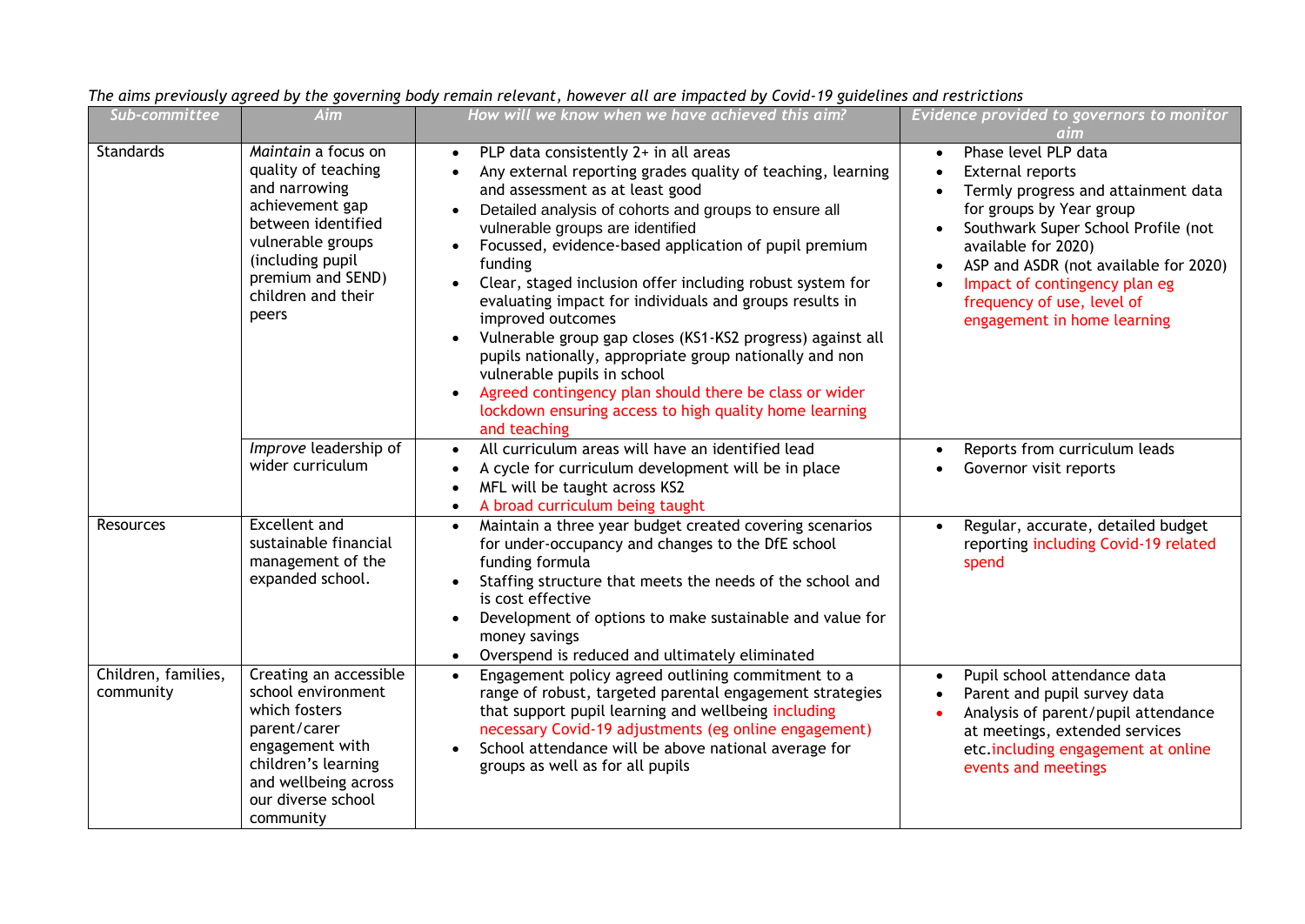| Sub-committee                    | Aim                                                                                                                                                                                               | How will we know when we have achieved this aim?                                                                                                                                                                                                                                                                                                                                                                                                                                                                                                                                                                                                                                                                                                               | Evidence provided to governors to monitor<br>aim                                                                                                                                                                                                                                                                 |
|----------------------------------|---------------------------------------------------------------------------------------------------------------------------------------------------------------------------------------------------|----------------------------------------------------------------------------------------------------------------------------------------------------------------------------------------------------------------------------------------------------------------------------------------------------------------------------------------------------------------------------------------------------------------------------------------------------------------------------------------------------------------------------------------------------------------------------------------------------------------------------------------------------------------------------------------------------------------------------------------------------------------|------------------------------------------------------------------------------------------------------------------------------------------------------------------------------------------------------------------------------------------------------------------------------------------------------------------|
| <b>Standards</b>                 | Maintain a focus on<br>quality of teaching<br>and narrowing<br>achievement gap<br>between identified<br>vulnerable groups<br>(including pupil<br>premium and SEND)<br>children and their<br>peers | PLP data consistently 2+ in all areas<br>$\bullet$<br>Any external reporting grades quality of teaching, learning<br>and assessment as at least good<br>Detailed analysis of cohorts and groups to ensure all<br>vulnerable groups are identified<br>Focussed, evidence-based application of pupil premium<br>funding<br>Clear, staged inclusion offer including robust system for<br>evaluating impact for individuals and groups results in<br>improved outcomes<br>Vulnerable group gap closes (KS1-KS2 progress) against all<br>pupils nationally, appropriate group nationally and non<br>vulnerable pupils in school<br>Agreed contingency plan should there be class or wider<br>lockdown ensuring access to high quality home learning<br>and teaching | Phase level PLP data<br>External reports<br>Termly progress and attainment data<br>for groups by Year group<br>Southwark Super School Profile (not<br>available for 2020)<br>ASP and ASDR (not available for 2020)<br>Impact of contingency plan eg<br>frequency of use, level of<br>engagement in home learning |
|                                  | Improve leadership of<br>wider curriculum                                                                                                                                                         | All curriculum areas will have an identified lead<br>$\bullet$<br>A cycle for curriculum development will be in place<br>$\bullet$<br>MFL will be taught across KS2<br>$\bullet$<br>A broad curriculum being taught<br>$\bullet$                                                                                                                                                                                                                                                                                                                                                                                                                                                                                                                               | Reports from curriculum leads<br>Governor visit reports                                                                                                                                                                                                                                                          |
| Resources                        | <b>Excellent and</b><br>sustainable financial<br>management of the<br>expanded school.                                                                                                            | Maintain a three year budget created covering scenarios<br>$\bullet$<br>for under-occupancy and changes to the DfE school<br>funding formula<br>Staffing structure that meets the needs of the school and<br>is cost effective<br>Development of options to make sustainable and value for<br>$\bullet$<br>money savings<br>Overspend is reduced and ultimately eliminated<br>$\bullet$                                                                                                                                                                                                                                                                                                                                                                        | Regular, accurate, detailed budget<br>reporting including Covid-19 related<br>spend                                                                                                                                                                                                                              |
| Children, families,<br>community | Creating an accessible<br>school environment<br>which fosters<br>parent/carer<br>engagement with<br>children's learning<br>and wellbeing across<br>our diverse school<br>community                | Engagement policy agreed outlining commitment to a<br>$\bullet$<br>range of robust, targeted parental engagement strategies<br>that support pupil learning and wellbeing including<br>necessary Covid-19 adjustments (eg online engagement)<br>School attendance will be above national average for<br>groups as well as for all pupils                                                                                                                                                                                                                                                                                                                                                                                                                        | Pupil school attendance data<br>Parent and pupil survey data<br>Analysis of parent/pupil attendance<br>at meetings, extended services<br>etc.including engagement at online<br>events and meetings                                                                                                               |

## *The aims previously agreed by the governing body remain relevant, however all are impacted by Covid-19 guidelines and restrictions*